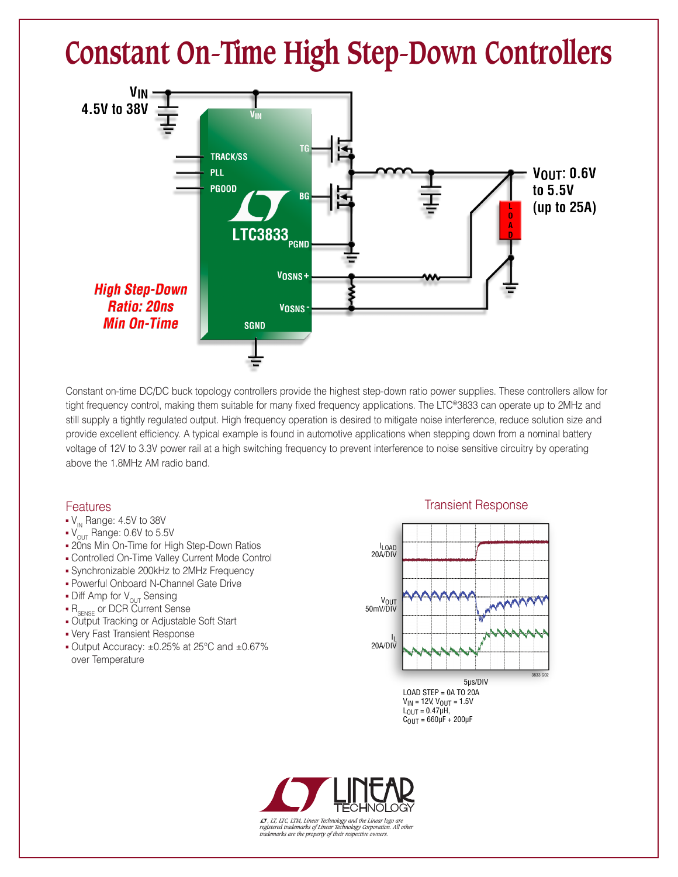## **Constant On-Time High Step-Down Controllers**



Constant on-time DC/DC buck topology controllers provide the highest step-down ratio power supplies. These controllers allow for tight frequency control, making them suitable for many fixed frequency applications. The LTC®3833 can operate up to 2MHz and still supply a tightly regulated output. High frequency operation is desired to mitigate noise interference, reduce solution size and provide excellent efficiency. A typical example is found in automotive applications when stepping down from a nominal battery voltage of 12V to 3.3V power rail at a high switching frequency to prevent interference to noise sensitive circuitry by operating above the 1.8MHz AM radio band.

## **Features**

- $\bullet$  V<sub>IN</sub> Range: 4.5V to 38V
- $\bullet$  V<sub>OUT</sub> Range: 0.6V to 5.5V
- 20ns Min On-Time for High Step-Down Ratios
- **Controlled On-Time Valley Current Mode Control**
- <sup>n</sup> Synchronizable 200kHz to 2MHz Frequency
- **Powerful Onboard N-Channel Gate Drive**
- $\bullet$  Diff Amp for  $V_{\text{OUT}}$  Sensing
- R<sub>SENSE</sub> or DCR Current Sense
- **Output Tracking or Adjustable Soft Start**
- Very Fast Transient Response
- <sup>n</sup> Output Accuracy: ±0.25% at 25°C and ±0.67% over Temperature

## Transient Response



LOAD STEP = 0A TO 20A  $V_{IN}$  = 12V,  $V_{OUT}$  = 1.5V  $L_{\text{OUT}} = 0.47 \mu H,$  $C_{\text{OUT}} = 660 \mu\text{F} + 200 \mu\text{F}$ 



L*, LT, LTC, LTM, Linear Technology and the Linear logo are registered trademarks of Linear Technology Corporation. All other trademarks are the property of their respective owners.*